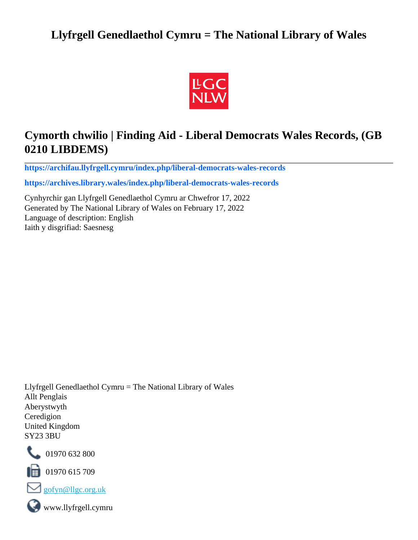## **Llyfrgell Genedlaethol Cymru = The National Library of Wales**



# **Cymorth chwilio | Finding Aid - Liberal Democrats Wales Records, (GB 0210 LIBDEMS)**

**[https://archifau.llyfrgell.cymru/index.php/liberal-democrats-wales-records](https://archifau.llyfrgell.cymru/index.php/liberal-democrats-wales-records;isad?sf_culture=cy)**

**[https://archives.library.wales/index.php/liberal-democrats-wales-records](https://archives.library.wales/index.php/liberal-democrats-wales-records;isad?sf_culture=en)**

Cynhyrchir gan Llyfrgell Genedlaethol Cymru ar Chwefror 17, 2022 Generated by The National Library of Wales on February 17, 2022 Language of description: English Iaith y disgrifiad: Saesnesg

Llyfrgell Genedlaethol Cymru = The National Library of Wales Allt Penglais Aberystwyth Ceredigion United Kingdom SY23 3BU



101970 632 800

 $\blacksquare$  01970 615 709



www.llyfrgell.cymru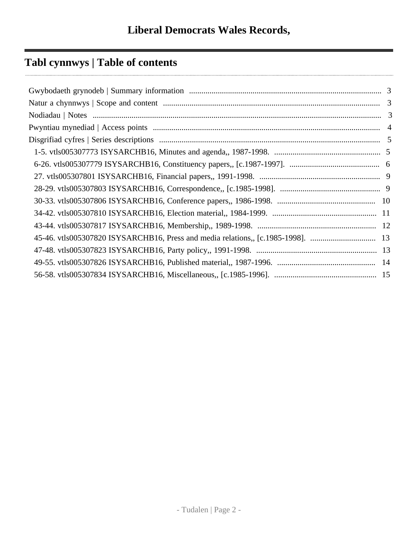# **Tabl cynnwys | Table of contents**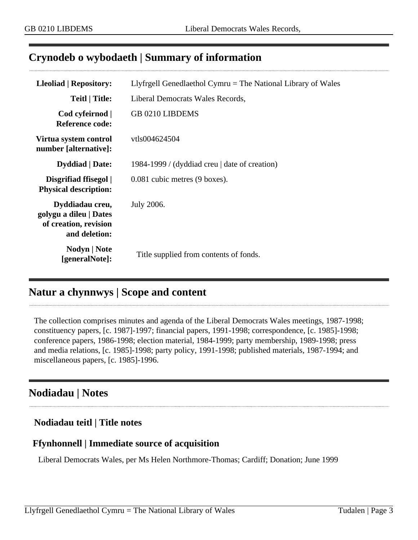### <span id="page-2-0"></span>**Crynodeb o wybodaeth | Summary of information**

| <b>Lleoliad   Repository:</b>                                                       | Llyfrgell Genedlaethol Cymru $=$ The National Library of Wales |
|-------------------------------------------------------------------------------------|----------------------------------------------------------------|
| <b>Teitl   Title:</b>                                                               | Liberal Democrats Wales Records,                               |
| Cod cyfeirnod  <br>Reference code:                                                  | <b>GB 0210 LIBDEMS</b>                                         |
| Virtua system control<br>number [alternative]:                                      | vtls004624504                                                  |
| <b>Dyddiad</b>   Date:                                                              | 1984-1999 / (dyddiad creu $\vert$ date of creation)            |
| Disgrifiad ffisegol  <br><b>Physical description:</b>                               | 0.081 cubic metres (9 boxes).                                  |
| Dyddiadau creu,<br>golygu a dileu   Dates<br>of creation, revision<br>and deletion: | July 2006.                                                     |
| Nodyn   Note<br>[generalNote]:                                                      | Title supplied from contents of fonds.                         |

### <span id="page-2-1"></span>**Natur a chynnwys | Scope and content**

The collection comprises minutes and agenda of the Liberal Democrats Wales meetings, 1987-1998; constituency papers, [c. 1987]-1997; financial papers, 1991-1998; correspondence, [c. 1985]-1998; conference papers, 1986-1998; election material, 1984-1999; party membership, 1989-1998; press and media relations, [c. 1985]-1998; party policy, 1991-1998; published materials, 1987-1994; and miscellaneous papers, [c. 1985]-1996.

### <span id="page-2-2"></span>**Nodiadau | Notes**

#### **Nodiadau teitl | Title notes**

#### **Ffynhonnell | Immediate source of acquisition**

Liberal Democrats Wales, per Ms Helen Northmore-Thomas; Cardiff; Donation; June 1999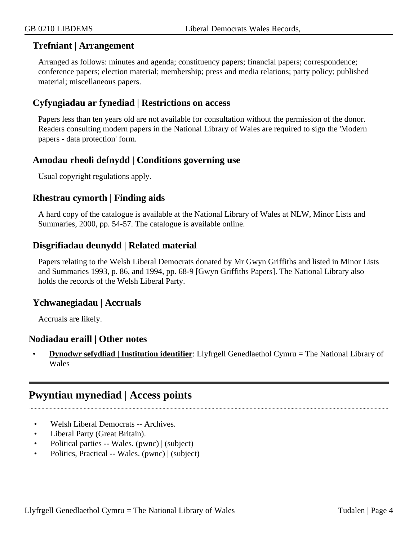#### **Trefniant | Arrangement**

Arranged as follows: minutes and agenda; constituency papers; financial papers; correspondence; conference papers; election material; membership; press and media relations; party policy; published material; miscellaneous papers.

#### **Cyfyngiadau ar fynediad | Restrictions on access**

Papers less than ten years old are not available for consultation without the permission of the donor. Readers consulting modern papers in the National Library of Wales are required to sign the 'Modern papers - data protection' form.

#### **Amodau rheoli defnydd | Conditions governing use**

Usual copyright regulations apply.

#### **Rhestrau cymorth | Finding aids**

A hard copy of the catalogue is available at the National Library of Wales at NLW, Minor Lists and Summaries, 2000, pp. 54-57. The catalogue is available online.

#### **Disgrifiadau deunydd | Related material**

Papers relating to the Welsh Liberal Democrats donated by Mr Gwyn Griffiths and listed in Minor Lists and Summaries 1993, p. 86, and 1994, pp. 68-9 [Gwyn Griffiths Papers]. The National Library also holds the records of the Welsh Liberal Party.

#### **Ychwanegiadau | Accruals**

Accruals are likely.

#### **Nodiadau eraill | Other notes**

• **Dynodwr sefydliad | Institution identifier**: Llyfrgell Genedlaethol Cymru = The National Library of Wales

### <span id="page-3-0"></span>**Pwyntiau mynediad | Access points**

- Welsh Liberal Democrats -- Archives.
- Liberal Party (Great Britain).
- Political parties -- Wales. (pwnc) | (subject)
- Politics, Practical -- Wales. (pwnc) | (subject)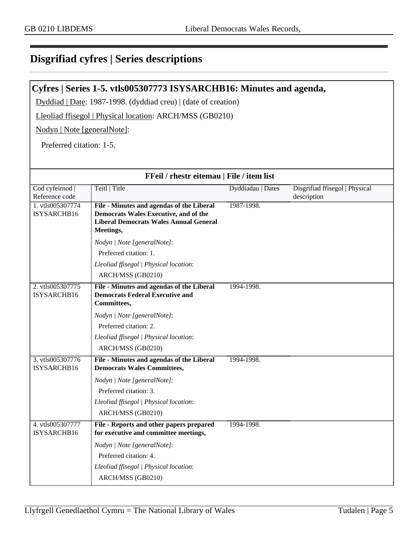### <span id="page-4-0"></span>**Disgrifiad cyfres | Series descriptions**

#### <span id="page-4-1"></span>**Cyfres | Series 1-5. vtls005307773 ISYSARCHB16: Minutes and agenda,**

Dyddiad | Date: 1987-1998. (dyddiad creu) | (date of creation)

Lleoliad ffisegol | Physical location: ARCH/MSS (GB0210)

Nodyn | Note [generalNote]:

Preferred citation: 1-5.

| FFeil / rhestr eitemau   File / item list |                                                                                                                                                         |                   |                                               |
|-------------------------------------------|---------------------------------------------------------------------------------------------------------------------------------------------------------|-------------------|-----------------------------------------------|
| Cod cyfeirnod<br>Reference code           | Teitl   Title                                                                                                                                           | Dyddiadau   Dates | Disgrifiad ffisegol   Physical<br>description |
| 1. vtls005307774<br>ISYSARCHB16           | File - Minutes and agendas of the Liberal<br><b>Democrats Wales Executive, and of the</b><br><b>Liberal Democrats Wales Annual General</b><br>Meetings, | 1987-1998.        |                                               |
|                                           | Nodyn   Note [generalNote]:                                                                                                                             |                   |                                               |
|                                           | Preferred citation: 1.                                                                                                                                  |                   |                                               |
|                                           | Lleoliad ffisegol   Physical location:                                                                                                                  |                   |                                               |
|                                           | ARCH/MSS (GB0210)                                                                                                                                       |                   |                                               |
| 2. vtls005307775<br>ISYSARCHB16           | File - Minutes and agendas of the Liberal<br><b>Democrats Federal Executive and</b><br>Committees,                                                      | 1994-1998.        |                                               |
|                                           | Nodyn   Note [generalNote]:                                                                                                                             |                   |                                               |
|                                           | Preferred citation: 2.                                                                                                                                  |                   |                                               |
|                                           | Lleoliad ffisegol   Physical location:                                                                                                                  |                   |                                               |
|                                           | ARCH/MSS (GB0210)                                                                                                                                       |                   |                                               |
| 3. vtls005307776<br>ISYSARCHB16           | File - Minutes and agendas of the Liberal<br><b>Democrats Wales Committees,</b>                                                                         | 1994-1998.        |                                               |
|                                           | Nodyn   Note [generalNote]:                                                                                                                             |                   |                                               |
|                                           | Preferred citation: 3.                                                                                                                                  |                   |                                               |
|                                           | Lleoliad ffisegol   Physical location:                                                                                                                  |                   |                                               |
|                                           | ARCH/MSS (GB0210)                                                                                                                                       |                   |                                               |
| 4. vtls005307777<br>ISYSARCHB16           | File - Reports and other papers prepared<br>for executive and committee meetings,                                                                       | 1994-1998.        |                                               |
|                                           | Nodyn   Note [generalNote]:                                                                                                                             |                   |                                               |
|                                           | Preferred citation: 4.                                                                                                                                  |                   |                                               |
|                                           | Lleoliad ffisegol   Physical location:                                                                                                                  |                   |                                               |
|                                           | ARCH/MSS (GB0210)                                                                                                                                       |                   |                                               |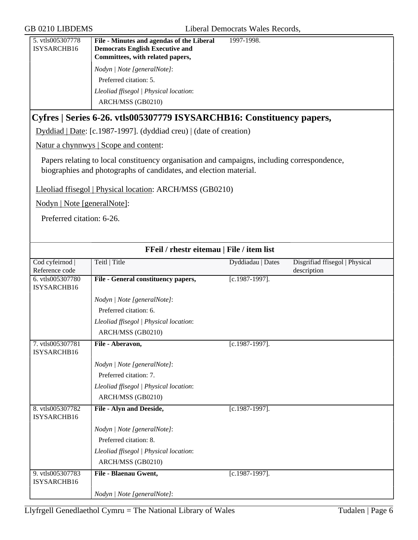<span id="page-5-0"></span>

| 5. vtls005307778<br>ISYSARCHB16 | File - Minutes and agendas of the Liberal<br><b>Democrats English Executive and</b>                                                                              | 1997-1998.        |                                               |
|---------------------------------|------------------------------------------------------------------------------------------------------------------------------------------------------------------|-------------------|-----------------------------------------------|
|                                 | Committees, with related papers,                                                                                                                                 |                   |                                               |
|                                 | Nodyn   Note [generalNote]:                                                                                                                                      |                   |                                               |
|                                 | Preferred citation: 5.                                                                                                                                           |                   |                                               |
|                                 | Lleoliad ffisegol   Physical location:                                                                                                                           |                   |                                               |
|                                 | ARCH/MSS (GB0210)                                                                                                                                                |                   |                                               |
|                                 | Cyfres   Series 6-26. vtls005307779 ISYSARCHB16: Constituency papers,                                                                                            |                   |                                               |
|                                 | Dyddiad   Date: [c.1987-1997]. (dyddiad creu)   (date of creation)                                                                                               |                   |                                               |
|                                 | Natur a chynnwys   Scope and content:                                                                                                                            |                   |                                               |
|                                 | Papers relating to local constituency organisation and campaigns, including correspondence,<br>biographies and photographs of candidates, and election material. |                   |                                               |
|                                 | Lleoliad ffisegol   Physical location: ARCH/MSS (GB0210)                                                                                                         |                   |                                               |
| Nodyn   Note [generalNote]:     |                                                                                                                                                                  |                   |                                               |
| Preferred citation: 6-26.       |                                                                                                                                                                  |                   |                                               |
|                                 |                                                                                                                                                                  |                   |                                               |
|                                 | FFeil / rhestr eitemau   File / item list                                                                                                                        |                   |                                               |
| Cod cyfeirnod<br>Reference code | Teitl   Title                                                                                                                                                    | Dyddiadau   Dates | Disgrifiad ffisegol   Physical<br>description |
| 6. vtls005307780<br>ISYSARCHB16 | File - General constituency papers,                                                                                                                              | $[c.1987-1997]$ . |                                               |
|                                 | Nodyn   Note [generalNote]:                                                                                                                                      |                   |                                               |
|                                 | Preferred citation: 6.                                                                                                                                           |                   |                                               |
|                                 | Lleoliad ffisegol   Physical location:                                                                                                                           |                   |                                               |
|                                 | ARCH/MSS (GB0210)                                                                                                                                                |                   |                                               |
| 7. vtls005307781<br>ISYSARCHB16 | File - Aberavon,                                                                                                                                                 | $[c.1987-1997]$ . |                                               |
|                                 | Nodyn   Note [generalNote]:                                                                                                                                      |                   |                                               |
|                                 | Preferred citation: 7.                                                                                                                                           |                   |                                               |
|                                 | Lleoliad ffisegol   Physical location:                                                                                                                           |                   |                                               |
|                                 | ARCH/MSS (GB0210)                                                                                                                                                |                   |                                               |
| 8. vtls005307782<br>ISYSARCHB16 | File - Alyn and Deeside,                                                                                                                                         | $[c.1987-1997]$ . |                                               |
|                                 | Nodyn   Note [generalNote]:                                                                                                                                      |                   |                                               |
|                                 | Preferred citation: 8.                                                                                                                                           |                   |                                               |

*Nodyn | Note [generalNote]*:

ARCH/MSS (GB0210)

9. vtls005307783 ISYSARCHB16

*Lleoliad ffisegol | Physical location*:

**File - Blaenau Gwent,** [c.1987-1997].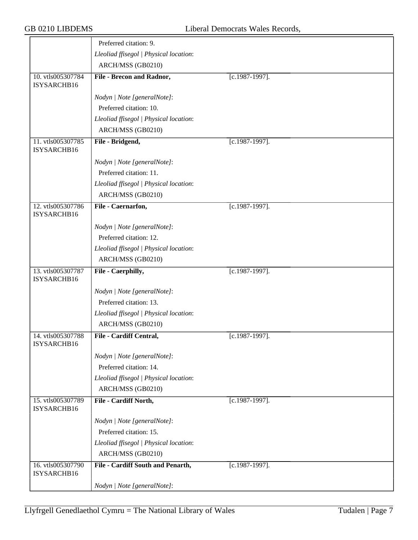|                                  | Preferred citation: 9.                 |                   |
|----------------------------------|----------------------------------------|-------------------|
|                                  | Lleoliad ffisegol   Physical location: |                   |
|                                  | ARCH/MSS (GB0210)                      |                   |
| 10. vtls005307784<br>ISYSARCHB16 | File - Brecon and Radnor,              | $[c.1987-1997]$ . |
|                                  | Nodyn   Note [generalNote]:            |                   |
|                                  | Preferred citation: 10.                |                   |
|                                  | Lleoliad ffisegol   Physical location: |                   |
|                                  | ARCH/MSS (GB0210)                      |                   |
| 11. vtls005307785<br>ISYSARCHB16 | File - Bridgend,                       | [c.1987-1997].    |
|                                  | Nodyn   Note [generalNote]:            |                   |
|                                  | Preferred citation: 11.                |                   |
|                                  | Lleoliad ffisegol   Physical location: |                   |
|                                  | ARCH/MSS (GB0210)                      |                   |
| 12. vtls005307786<br>ISYSARCHB16 | File - Caernarfon,                     | [c.1987-1997].    |
|                                  | Nodyn   Note [generalNote]:            |                   |
|                                  | Preferred citation: 12.                |                   |
|                                  | Lleoliad ffisegol   Physical location: |                   |
|                                  | ARCH/MSS (GB0210)                      |                   |
| 13. vtls005307787<br>ISYSARCHB16 | File - Caerphilly,                     | $[c.1987-1997]$ . |
|                                  | Nodyn   Note [generalNote]:            |                   |
|                                  | Preferred citation: 13.                |                   |
|                                  | Lleoliad ffisegol   Physical location: |                   |
|                                  | ARCH/MSS (GB0210)                      |                   |
| 14. vtls005307788<br>ISYSARCHB16 | File - Cardiff Central,                | $[c.1987-1997]$ . |
|                                  | Nodyn   Note [generalNote]:            |                   |
|                                  | Preferred citation: 14.                |                   |
|                                  | Lleoliad ffisegol   Physical location: |                   |
|                                  | ARCH/MSS (GB0210)                      |                   |
| 15. vtls005307789<br>ISYSARCHB16 | File - Cardiff North,                  | $[c.1987-1997]$ . |
|                                  | Nodyn   Note [generalNote]:            |                   |
|                                  | Preferred citation: 15.                |                   |
|                                  | Lleoliad ffisegol   Physical location: |                   |
|                                  | ARCH/MSS (GB0210)                      |                   |
| 16. vtls005307790<br>ISYSARCHB16 | File - Cardiff South and Penarth,      | $[c.1987-1997]$ . |
|                                  | Nodyn   Note [generalNote]:            |                   |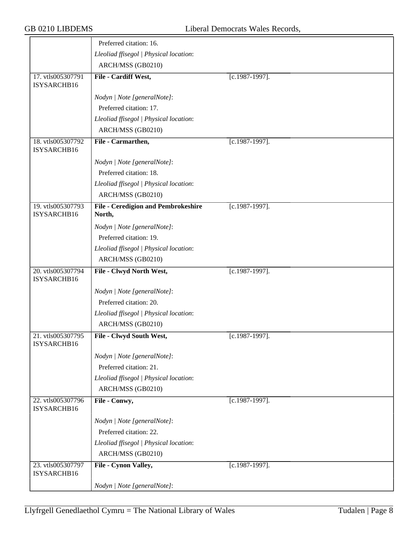|                                  | Preferred citation: 16.                              |                   |
|----------------------------------|------------------------------------------------------|-------------------|
|                                  | Lleoliad ffisegol   Physical location:               |                   |
|                                  | ARCH/MSS (GB0210)                                    |                   |
| 17. vtls005307791<br>ISYSARCHB16 | File - Cardiff West,                                 | [c.1987-1997].    |
|                                  | Nodyn   Note [generalNote]:                          |                   |
|                                  | Preferred citation: 17.                              |                   |
|                                  | Lleoliad ffisegol   Physical location:               |                   |
|                                  | ARCH/MSS (GB0210)                                    |                   |
| 18. vtls005307792<br>ISYSARCHB16 | File - Carmarthen,                                   | $[c.1987-1997]$ . |
|                                  | Nodyn   Note [generalNote]:                          |                   |
|                                  | Preferred citation: 18.                              |                   |
|                                  | Lleoliad ffisegol   Physical location:               |                   |
|                                  | ARCH/MSS (GB0210)                                    |                   |
| 19. vtls005307793<br>ISYSARCHB16 | <b>File - Ceredigion and Pembrokeshire</b><br>North, | $[c.1987-1997]$ . |
|                                  | Nodyn   Note [generalNote]:                          |                   |
|                                  | Preferred citation: 19.                              |                   |
|                                  | Lleoliad ffisegol   Physical location:               |                   |
|                                  | ARCH/MSS (GB0210)                                    |                   |
| 20. vtls005307794                | File - Clwyd North West,                             | $[c.1987-1997]$ . |
| ISYSARCHB16                      |                                                      |                   |
|                                  | Nodyn   Note [generalNote]:                          |                   |
|                                  | Preferred citation: 20.                              |                   |
|                                  | Lleoliad ffisegol   Physical location:               |                   |
|                                  | ARCH/MSS (GB0210)                                    |                   |
| 21. vtls005307795                | File - Clwyd South West,                             | $[c.1987-1997]$ . |
| ISYSARCHB16                      |                                                      |                   |
|                                  | Nodyn   Note [generalNote]:                          |                   |
|                                  | Preferred citation: 21.                              |                   |
|                                  | Lleoliad ffisegol   Physical location:               |                   |
|                                  | ARCH/MSS (GB0210)                                    |                   |
| 22. vtls005307796<br>ISYSARCHB16 | File - Conwy,                                        | $[c.1987-1997]$ . |
|                                  | Nodyn   Note [generalNote]:                          |                   |
|                                  | Preferred citation: 22.                              |                   |
|                                  | Lleoliad ffisegol   Physical location:               |                   |
|                                  | ARCH/MSS (GB0210)                                    |                   |
| 23. vtls005307797                | File - Cynon Valley,                                 | $[c.1987-1997]$ . |
| ISYSARCHB16                      |                                                      |                   |
|                                  | Nodyn   Note [generalNote]:                          |                   |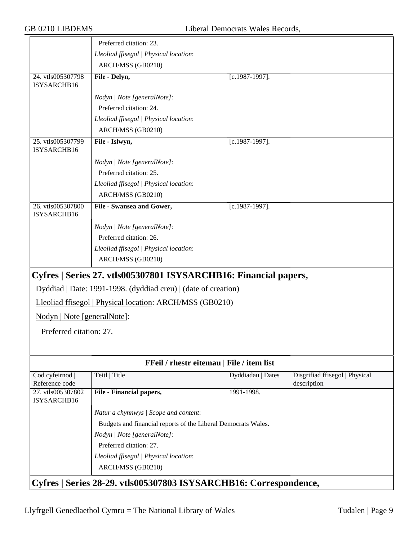<span id="page-8-1"></span><span id="page-8-0"></span>

|                                  | Preferred citation: 23.                                           |                   |                                               |
|----------------------------------|-------------------------------------------------------------------|-------------------|-----------------------------------------------|
|                                  | Lleoliad ffisegol   Physical location:                            |                   |                                               |
|                                  | ARCH/MSS (GB0210)                                                 |                   |                                               |
| 24. vtls005307798<br>ISYSARCHB16 | File - Delyn,                                                     | [c.1987-1997].    |                                               |
|                                  | Nodyn   Note [generalNote]:                                       |                   |                                               |
|                                  | Preferred citation: 24.                                           |                   |                                               |
|                                  | Lleoliad ffisegol   Physical location:                            |                   |                                               |
|                                  | ARCH/MSS (GB0210)                                                 |                   |                                               |
| 25. vtls005307799<br>ISYSARCHB16 | File - Islwyn,                                                    | $[c.1987-1997]$ . |                                               |
|                                  | Nodyn   Note [generalNote]:                                       |                   |                                               |
|                                  | Preferred citation: 25.                                           |                   |                                               |
|                                  | Lleoliad ffisegol   Physical location:                            |                   |                                               |
|                                  | ARCH/MSS (GB0210)                                                 |                   |                                               |
| 26. vtls005307800<br>ISYSARCHB16 | File - Swansea and Gower,                                         | $[c.1987-1997]$ . |                                               |
|                                  | Nodyn   Note [generalNote]:                                       |                   |                                               |
|                                  | Preferred citation: 26.                                           |                   |                                               |
|                                  | Lleoliad ffisegol   Physical location:                            |                   |                                               |
|                                  | ARCH/MSS (GB0210)                                                 |                   |                                               |
|                                  | Cyfres   Series 27. vtls005307801 ISYSARCHB16: Financial papers,  |                   |                                               |
|                                  | Dyddiad   Date: 1991-1998. (dyddiad creu)   (date of creation)    |                   |                                               |
|                                  | Lleoliad ffisegol   Physical location: ARCH/MSS (GB0210)          |                   |                                               |
| Nodyn   Note [generalNote]:      |                                                                   |                   |                                               |
| Preferred citation: 27.          |                                                                   |                   |                                               |
|                                  |                                                                   |                   |                                               |
|                                  | FFeil / rhestr eitemau   File / item list                         |                   |                                               |
| Cod cyfeirnod<br>Reference code  | Teitl   Title                                                     | Dyddiadau   Dates | Disgrifiad ffisegol   Physical<br>description |
| 27. vtls005307802<br>ISYSARCHB16 | File - Financial papers,                                          | 1991-1998.        |                                               |
|                                  | Natur a chynnwys / Scope and content:                             |                   |                                               |
|                                  | Budgets and financial reports of the Liberal Democrats Wales.     |                   |                                               |
|                                  | Nodyn   Note [generalNote]:                                       |                   |                                               |
|                                  | Preferred citation: 27.                                           |                   |                                               |
|                                  | Lleoliad ffisegol   Physical location:                            |                   |                                               |
|                                  | ARCH/MSS (GB0210)                                                 |                   |                                               |
|                                  | Cyfres   Series 28-29. vtls005307803 ISYSARCHB16: Correspondence, |                   |                                               |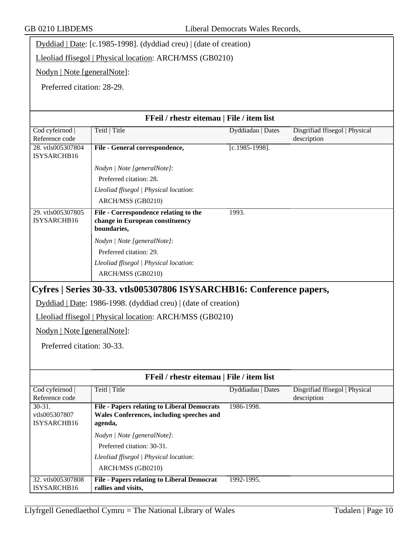Dyddiad | Date: [c.1985-1998]. (dyddiad creu) | (date of creation)

Lleoliad ffisegol | Physical location: ARCH/MSS (GB0210)

Nodyn | Note [generalNote]:

Preferred citation: 28-29.

<span id="page-9-0"></span>

|                                                           | FFeil / rhestr eitemau   File / item list                                                                                  |                   |                                               |
|-----------------------------------------------------------|----------------------------------------------------------------------------------------------------------------------------|-------------------|-----------------------------------------------|
| Cod cyfeirnod<br>Reference code                           | Teitl   Title                                                                                                              | Dyddiadau   Dates | Disgrifiad ffisegol   Physical<br>description |
| 28. vtls005307804<br>ISYSARCHB16                          | File - General correspondence,                                                                                             | $[c.1985-1998]$ . |                                               |
|                                                           | Nodyn   Note [generalNote]:                                                                                                |                   |                                               |
|                                                           | Preferred citation: 28.                                                                                                    |                   |                                               |
|                                                           | Lleoliad ffisegol   Physical location:                                                                                     |                   |                                               |
|                                                           | ARCH/MSS (GB0210)                                                                                                          |                   |                                               |
| 29. vtls005307805<br>ISYSARCHB16                          | File - Correspondence relating to the<br>change in European constituency<br>boundaries,                                    | 1993.             |                                               |
|                                                           | Nodyn   Note [generalNote]:                                                                                                |                   |                                               |
|                                                           | Preferred citation: 29.                                                                                                    |                   |                                               |
|                                                           | Lleoliad ffisegol   Physical location:                                                                                     |                   |                                               |
|                                                           | ARCH/MSS (GB0210)                                                                                                          |                   |                                               |
| Nodyn   Note [generalNote]:<br>Preferred citation: 30-33. | Dyddiad   Date: 1986-1998. (dyddiad creu)   (date of creation)<br>Lleoliad ffisegol   Physical location: ARCH/MSS (GB0210) |                   |                                               |
|                                                           | FFeil / rhestr eitemau   File / item list                                                                                  |                   |                                               |
| Cod cyfeirnod<br>Reference code                           | Teitl   Title                                                                                                              | Dyddiadau   Dates | Disgrifiad ffisegol   Physical<br>description |
| $30 - 31.$                                                | <b>File - Papers relating to Liberal Democrats</b>                                                                         | 1986-1998.        |                                               |
| vtls005307807<br>ISYSARCHB16                              | Wales Conferences, including speeches and<br>agenda,                                                                       |                   |                                               |
|                                                           | Nodyn   Note [generalNote]:                                                                                                |                   |                                               |
|                                                           | Preferred citation: 30-31.                                                                                                 |                   |                                               |
|                                                           | Lleoliad ffisegol   Physical location:                                                                                     |                   |                                               |
|                                                           | ARCH/MSS (GB0210)                                                                                                          |                   |                                               |
| 32. vtls005307808                                         | <b>File - Papers relating to Liberal Democrat</b>                                                                          | 1992-1995.        |                                               |
| ISYSARCHB16                                               | rallies and visits,                                                                                                        |                   |                                               |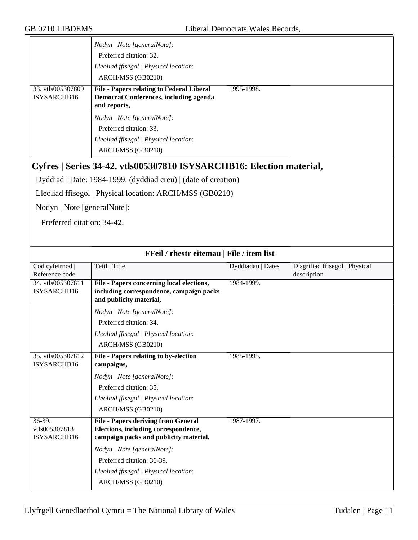<span id="page-10-0"></span>

|                                        | Nodyn   Note [generalNote]:                                                                                                  |                   |                                               |
|----------------------------------------|------------------------------------------------------------------------------------------------------------------------------|-------------------|-----------------------------------------------|
|                                        | Preferred citation: 32.                                                                                                      |                   |                                               |
|                                        | Lleoliad ffisegol   Physical location:                                                                                       |                   |                                               |
|                                        | ARCH/MSS (GB0210)                                                                                                            |                   |                                               |
| 33. vtls005307809<br>ISYSARCHB16       | <b>File - Papers relating to Federal Liberal</b><br><b>Democrat Conferences, including agenda</b><br>and reports,            | 1995-1998.        |                                               |
|                                        | Nodyn   Note [generalNote]:                                                                                                  |                   |                                               |
|                                        | Preferred citation: 33.                                                                                                      |                   |                                               |
|                                        | Lleoliad ffisegol   Physical location:                                                                                       |                   |                                               |
|                                        | ARCH/MSS (GB0210)                                                                                                            |                   |                                               |
|                                        | Cyfres   Series 34-42. vtls005307810 ISYSARCHB16: Election material,                                                         |                   |                                               |
|                                        | Dyddiad   Date: 1984-1999. (dyddiad creu)   (date of creation)                                                               |                   |                                               |
|                                        | Lleoliad ffisegol   Physical location: ARCH/MSS (GB0210)                                                                     |                   |                                               |
| Nodyn   Note [generalNote]:            |                                                                                                                              |                   |                                               |
| Preferred citation: 34-42.             |                                                                                                                              |                   |                                               |
|                                        |                                                                                                                              |                   |                                               |
|                                        |                                                                                                                              |                   |                                               |
|                                        | FFeil / rhestr eitemau   File / item list                                                                                    |                   |                                               |
| Cod cyfeirnod  <br>Reference code      | Teitl   Title                                                                                                                | Dyddiadau   Dates | Disgrifiad ffisegol   Physical<br>description |
| 34. vtls005307811<br>ISYSARCHB16       | File - Papers concerning local elections,<br>including correspondence, campaign packs<br>and publicity material,             | 1984-1999.        |                                               |
|                                        | Nodyn   Note [generalNote]:                                                                                                  |                   |                                               |
|                                        | Preferred citation: 34.                                                                                                      |                   |                                               |
|                                        | Lleoliad ffisegol   Physical location:                                                                                       |                   |                                               |
|                                        | ARCH/MSS (GB0210)                                                                                                            |                   |                                               |
|                                        |                                                                                                                              |                   |                                               |
| 35. vtls005307812<br>ISYSARCHB16       | File - Papers relating to by-election<br>campaigns,                                                                          | 1985-1995.        |                                               |
|                                        |                                                                                                                              |                   |                                               |
|                                        | Nodyn   Note [generalNote]:<br>Preferred citation: 35.                                                                       |                   |                                               |
|                                        | Lleoliad ffisegol   Physical location:                                                                                       |                   |                                               |
|                                        | ARCH/MSS (GB0210)                                                                                                            |                   |                                               |
| 36-39.<br>vtls005307813<br>ISYSARCHB16 | <b>File - Papers deriving from General</b><br>Elections, including correspondence,<br>campaign packs and publicity material, | 1987-1997.        |                                               |
|                                        | Nodyn   Note [generalNote]:                                                                                                  |                   |                                               |
|                                        | Preferred citation: 36-39.                                                                                                   |                   |                                               |
|                                        | Lleoliad ffisegol   Physical location:                                                                                       |                   |                                               |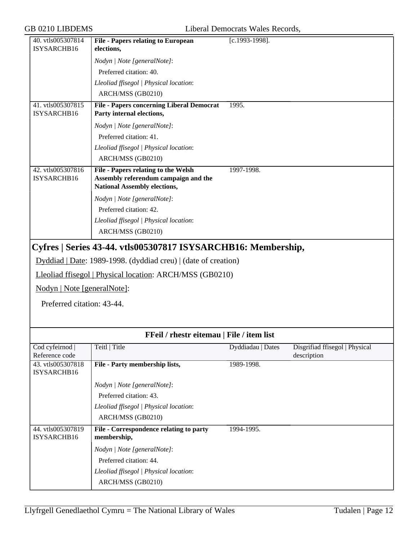<span id="page-11-0"></span>

|                                  | <b>File - Papers relating to European</b>                                                                                                                                                   |                   |                                               |
|----------------------------------|---------------------------------------------------------------------------------------------------------------------------------------------------------------------------------------------|-------------------|-----------------------------------------------|
| 40. vtls005307814<br>ISYSARCHB16 | elections,                                                                                                                                                                                  | [c.1993-1998].    |                                               |
|                                  | Nodyn   Note [generalNote]:                                                                                                                                                                 |                   |                                               |
|                                  | Preferred citation: 40.                                                                                                                                                                     |                   |                                               |
|                                  | Lleoliad ffisegol   Physical location:                                                                                                                                                      |                   |                                               |
|                                  | ARCH/MSS (GB0210)                                                                                                                                                                           |                   |                                               |
| 41. vtls005307815                | <b>File - Papers concerning Liberal Democrat</b>                                                                                                                                            | 1995.             |                                               |
| ISYSARCHB16                      | Party internal elections,                                                                                                                                                                   |                   |                                               |
|                                  | Nodyn   Note [generalNote]:                                                                                                                                                                 |                   |                                               |
|                                  | Preferred citation: 41.                                                                                                                                                                     |                   |                                               |
|                                  | Lleoliad ffisegol   Physical location:                                                                                                                                                      |                   |                                               |
|                                  | ARCH/MSS (GB0210)                                                                                                                                                                           |                   |                                               |
| 42. vtls005307816<br>ISYSARCHB16 | <b>File - Papers relating to the Welsh</b><br>Assembly referendum campaign and the<br><b>National Assembly elections,</b>                                                                   | 1997-1998.        |                                               |
|                                  | Nodyn   Note [generalNote]:                                                                                                                                                                 |                   |                                               |
|                                  | Preferred citation: 42.                                                                                                                                                                     |                   |                                               |
|                                  | Lleoliad ffisegol   Physical location:                                                                                                                                                      |                   |                                               |
|                                  | ARCH/MSS (GB0210)                                                                                                                                                                           |                   |                                               |
| Nodyn   Note [generalNote]:      | Cyfres   Series 43-44. vtls005307817 ISYSARCHB16: Membership,<br>Dyddiad   Date: 1989-1998. (dyddiad creu)   (date of creation)<br>Lleoliad ffisegol   Physical location: ARCH/MSS (GB0210) |                   |                                               |
| Preferred citation: 43-44.       |                                                                                                                                                                                             |                   |                                               |
|                                  | FFeil / rhestr eitemau   File / item list                                                                                                                                                   |                   |                                               |
| Cod cyfeirnod<br>Reference code  | Teitl   Title                                                                                                                                                                               | Dyddiadau   Dates | Disgrifiad ffisegol   Physical<br>description |
| 43. vtls005307818<br>ISYSARCHB16 | File - Party membership lists,                                                                                                                                                              | 1989-1998.        |                                               |
|                                  | Nodyn   Note [generalNote]:                                                                                                                                                                 |                   |                                               |
|                                  | Preferred citation: 43.                                                                                                                                                                     |                   |                                               |
|                                  | Lleoliad ffisegol   Physical location:                                                                                                                                                      |                   |                                               |
|                                  | ARCH/MSS (GB0210)                                                                                                                                                                           |                   |                                               |
| 44. vtls005307819                | File - Correspondence relating to party                                                                                                                                                     | 1994-1995.        |                                               |
| ISYSARCHB16                      | membership,                                                                                                                                                                                 |                   |                                               |
|                                  | Nodyn   Note [generalNote]:                                                                                                                                                                 |                   |                                               |
|                                  | Preferred citation: 44.                                                                                                                                                                     |                   |                                               |
|                                  | Lleoliad ffisegol   Physical location:                                                                                                                                                      |                   |                                               |
|                                  | ARCH/MSS (GB0210)                                                                                                                                                                           |                   |                                               |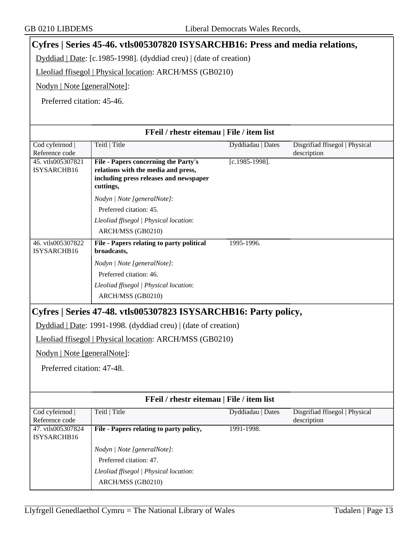# <span id="page-12-0"></span>**Cyfres | Series 45-46. vtls005307820 ISYSARCHB16: Press and media relations,**

Dyddiad | Date: [c.1985-1998]. (dyddiad creu) | (date of creation)

Lleoliad ffisegol | Physical location: ARCH/MSS (GB0210)

Nodyn | Note [generalNote]:

Preferred citation: 45-46.

<span id="page-12-1"></span>

| FFeil / rhestr eitemau   File / item list |                                                                                                                                    |                   |                                               |
|-------------------------------------------|------------------------------------------------------------------------------------------------------------------------------------|-------------------|-----------------------------------------------|
| Cod cyfeirnod<br>Reference code           | Teitl   Title                                                                                                                      | Dyddiadau   Dates | Disgrifiad ffisegol   Physical<br>description |
| 45. vtls005307821<br>ISYSARCHB16          | File - Papers concerning the Party's<br>relations with the media and press,<br>including press releases and newspaper<br>cuttings, | $[c.1985-1998]$ . |                                               |
|                                           | Nodyn   Note [generalNote]:                                                                                                        |                   |                                               |
|                                           | Preferred citation: 45.                                                                                                            |                   |                                               |
|                                           | Lleoliad ffisegol   Physical location:                                                                                             |                   |                                               |
|                                           | ARCH/MSS (GB0210)                                                                                                                  |                   |                                               |
| 46. vtls005307822<br>ISYSARCHB16          | File - Papers relating to party political<br>broadcasts,                                                                           | 1995-1996.        |                                               |
|                                           | Nodyn   Note [generalNote]:                                                                                                        |                   |                                               |
|                                           | Preferred citation: 46.                                                                                                            |                   |                                               |
|                                           | Lleoliad ffisegol   Physical location:                                                                                             |                   |                                               |
|                                           | ARCH/MSS (GB0210)                                                                                                                  |                   |                                               |
|                                           | Cyfres   Series 47-48. vtls005307823 ISYSARCHB16: Party policy,                                                                    |                   |                                               |
|                                           | Dyddiad   Date: 1991-1998. (dyddiad creu)   (date of creation)                                                                     |                   |                                               |
|                                           | Lleoliad ffisegol   Physical location: ARCH/MSS (GB0210)                                                                           |                   |                                               |
| Nodyn   Note [generalNote]:               |                                                                                                                                    |                   |                                               |
| Preferred citation: 47-48.                |                                                                                                                                    |                   |                                               |
|                                           |                                                                                                                                    |                   |                                               |
|                                           | FFeil / rhestr eitemau   File / item list                                                                                          |                   |                                               |
| Cod cyfeirnod<br>Reference code           | Teitl   Title                                                                                                                      | Dyddiadau   Dates | Disgrifiad ffisegol   Physical<br>description |
| 47. vtls005307824<br>ISYSARCHB16          | File - Papers relating to party policy,                                                                                            | 1991-1998.        |                                               |
|                                           | Nodyn   Note [generalNote]:                                                                                                        |                   |                                               |
|                                           | Preferred citation: 47.                                                                                                            |                   |                                               |
|                                           | Lleoliad ffisegol   Physical location:                                                                                             |                   |                                               |
|                                           | ARCH/MSS (GB0210)                                                                                                                  |                   |                                               |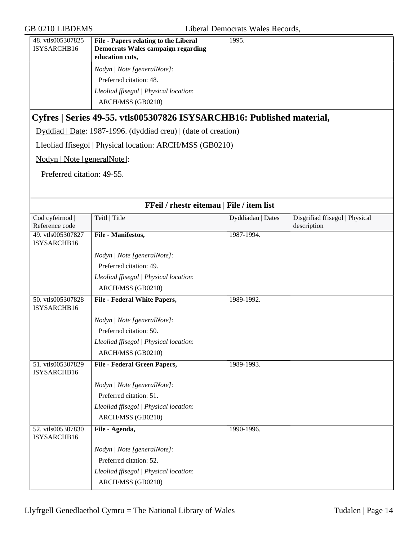<span id="page-13-0"></span>

| 48. vtls005307825<br>ISYSARCHB16  | File - Papers relating to the Liberal<br><b>Democrats Wales campaign regarding</b><br>education cuts, | 1995.             |                                               |
|-----------------------------------|-------------------------------------------------------------------------------------------------------|-------------------|-----------------------------------------------|
|                                   | Nodyn   Note [generalNote]:                                                                           |                   |                                               |
|                                   | Preferred citation: 48.                                                                               |                   |                                               |
|                                   | Lleoliad ffisegol   Physical location:                                                                |                   |                                               |
|                                   | ARCH/MSS (GB0210)                                                                                     |                   |                                               |
|                                   | Cyfres   Series 49-55. vtls005307826 ISYSARCHB16: Published material,                                 |                   |                                               |
|                                   | Dyddiad   Date: 1987-1996. (dyddiad creu)   (date of creation)                                        |                   |                                               |
|                                   | Lleoliad ffisegol   Physical location: ARCH/MSS (GB0210)                                              |                   |                                               |
| Nodyn   Note [generalNote]:       |                                                                                                       |                   |                                               |
| Preferred citation: 49-55.        |                                                                                                       |                   |                                               |
|                                   |                                                                                                       |                   |                                               |
|                                   | FFeil / rhestr eitemau   File / item list                                                             |                   |                                               |
| Cod cyfeirnod  <br>Reference code | Teitl   Title                                                                                         | Dyddiadau   Dates | Disgrifiad ffisegol   Physical<br>description |
| 49. vtls005307827<br>ISYSARCHB16  | File - Manifestos,                                                                                    | 1987-1994.        |                                               |
|                                   | Nodyn   Note [generalNote]:                                                                           |                   |                                               |
|                                   | Preferred citation: 49.                                                                               |                   |                                               |
|                                   | Lleoliad ffisegol   Physical location:                                                                |                   |                                               |
|                                   | ARCH/MSS (GB0210)                                                                                     |                   |                                               |
| 50. vtls005307828<br>ISYSARCHB16  | <b>File - Federal White Papers,</b>                                                                   | 1989-1992.        |                                               |
|                                   | Nodyn   Note [generalNote]:                                                                           |                   |                                               |
|                                   | Preferred citation: 50.                                                                               |                   |                                               |
|                                   | Lleoliad ffisegol   Physical location:                                                                |                   |                                               |
|                                   | ARCH/MSS (GB0210)                                                                                     |                   |                                               |
| 51. vtls005307829<br>ISYSARCHB16  | <b>File - Federal Green Papers,</b>                                                                   | 1989-1993.        |                                               |
|                                   | Nodyn   Note [generalNote]:                                                                           |                   |                                               |
|                                   | Preferred citation: 51.                                                                               |                   |                                               |
|                                   | Lleoliad ffisegol   Physical location:                                                                |                   |                                               |
|                                   | ARCH/MSS (GB0210)                                                                                     |                   |                                               |
| 52. vtls005307830<br>ISYSARCHB16  | File - Agenda,                                                                                        | 1990-1996.        |                                               |
|                                   | Nodyn   Note [generalNote]:                                                                           |                   |                                               |
|                                   | Preferred citation: 52.                                                                               |                   |                                               |
|                                   | Lleoliad ffisegol   Physical location:                                                                |                   |                                               |
|                                   | ARCH/MSS (GB0210)                                                                                     |                   |                                               |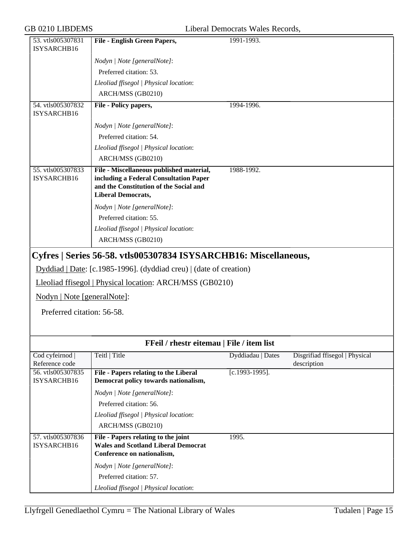<span id="page-14-0"></span>

| 53. vtls005307831<br>ISYSARCHB16                          | <b>File - English Green Papers,</b>                                                                                                                       | 1991-1993.        |                                |  |
|-----------------------------------------------------------|-----------------------------------------------------------------------------------------------------------------------------------------------------------|-------------------|--------------------------------|--|
|                                                           |                                                                                                                                                           |                   |                                |  |
|                                                           | Nodyn   Note [generalNote]:                                                                                                                               |                   |                                |  |
|                                                           | Preferred citation: 53.                                                                                                                                   |                   |                                |  |
|                                                           | Lleoliad ffisegol   Physical location:                                                                                                                    |                   |                                |  |
|                                                           | ARCH/MSS (GB0210)                                                                                                                                         |                   |                                |  |
| 54. vtls005307832                                         | File - Policy papers,                                                                                                                                     | 1994-1996.        |                                |  |
| ISYSARCHB16                                               |                                                                                                                                                           |                   |                                |  |
|                                                           | Nodyn   Note [generalNote]:                                                                                                                               |                   |                                |  |
|                                                           | Preferred citation: 54.                                                                                                                                   |                   |                                |  |
|                                                           | Lleoliad ffisegol   Physical location:                                                                                                                    |                   |                                |  |
|                                                           | ARCH/MSS (GB0210)                                                                                                                                         |                   |                                |  |
| 55. vtls005307833<br>ISYSARCHB16                          | File - Miscellaneous published material,<br>including a Federal Consultation Paper<br>and the Constitution of the Social and<br><b>Liberal Democrats,</b> | 1988-1992.        |                                |  |
|                                                           | Nodyn   Note [generalNote]:                                                                                                                               |                   |                                |  |
|                                                           | Preferred citation: 55.                                                                                                                                   |                   |                                |  |
|                                                           | Lleoliad ffisegol   Physical location:                                                                                                                    |                   |                                |  |
|                                                           | ARCH/MSS (GB0210)                                                                                                                                         |                   |                                |  |
| Nodyn   Note [generalNote]:<br>Preferred citation: 56-58. | Dyddiad   Date: [c.1985-1996]. (dyddiad creu)   (date of creation)<br>Lleoliad ffisegol   Physical location: ARCH/MSS (GB0210)                            |                   |                                |  |
| <b>FFeil</b> / rhestr eitemau   File / item list          |                                                                                                                                                           |                   |                                |  |
| Cod cyfeirnod                                             | Teitl   Title                                                                                                                                             | Dyddiadau   Dates | Disgrifiad ffisegol   Physical |  |
| Reference code<br>56. vtls005307835                       |                                                                                                                                                           |                   | description                    |  |
| ISYSARCHB16                                               | <b>File - Papers relating to the Liberal</b><br>Democrat policy towards nationalism,                                                                      | $[c.1993-1995]$ . |                                |  |
|                                                           | Nodyn   Note [generalNote]:                                                                                                                               |                   |                                |  |
|                                                           | Preferred citation: 56.                                                                                                                                   |                   |                                |  |
|                                                           |                                                                                                                                                           |                   |                                |  |
|                                                           |                                                                                                                                                           |                   |                                |  |
|                                                           | Lleoliad ffisegol   Physical location:                                                                                                                    |                   |                                |  |
|                                                           | ARCH/MSS (GB0210)                                                                                                                                         |                   |                                |  |
| 57. vtls005307836<br>ISYSARCHB16                          | File - Papers relating to the joint<br><b>Wales and Scotland Liberal Democrat</b><br>Conference on nationalism,                                           | 1995.             |                                |  |
|                                                           |                                                                                                                                                           |                   |                                |  |
|                                                           | Nodyn   Note [generalNote]:<br>Preferred citation: 57.                                                                                                    |                   |                                |  |